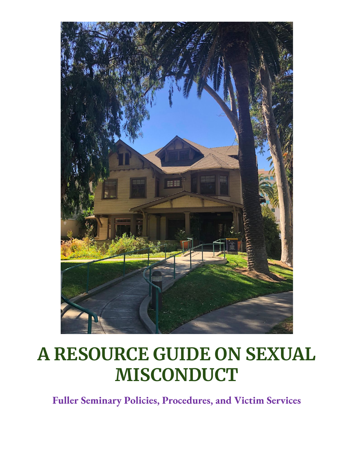

# **A RESOURCE GUIDE ON SEXUAL MISCONDUCT**

**Fuller Seminary Policies, Procedures, and Victim Services**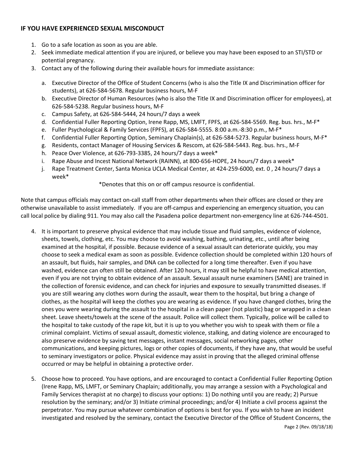# **IF YOU HAVE EXPERIENCED SEXUAL MISCONDUCT**

- 1. Go to a safe location as soon as you are able.
- 2. Seek immediate medical attention if you are injured, or believe you may have been exposed to an STI/STD or potential pregnancy.
- 3. Contact any of the following during their available hours for immediate assistance:
	- a. Executive Director of the Office of Student Concerns (who is also the Title IX and Discrimination officer for students), at 626-584-5678. Regular business hours, M-F
	- b. Executive Director of Human Resources (who is also the Title IX and Discrimination officer for employees), at 626-584-5238. Regular business hours, M-F
	- c. Campus Safety, at 626-584-5444, 24 hours/7 days a week
	- d. Confidential Fuller Reporting Option, Irene Rapp, MS, LMFT, FPFS, at 626-584-5569. Reg. bus. hrs., M-F\*
	- e. Fuller Psychological & Family Services (FPFS), at 626-584-5555. 8:00 a.m.-8:30 p.m., M-F\*
	- f. Confidential Fuller Reporting Option, Seminary Chaplain(s), at 626-584-5273. Regular business hours, M-F\*
	- g. Residents, contact Manager of Housing Services & Rescom, at 626-584-5443. Reg. bus. hrs., M-F
	- h. Peace Over Violence, at 626-793-3385, 24 hours/7 days a week\*
	- i. Rape Abuse and Incest National Network (RAINN), at 800-656-HOPE, 24 hours/7 days a week\*
	- j. Rape Treatment Center, Santa Monica UCLA Medical Center, at 424-259-6000, ext. 0 , 24 hours/7 days a week\*

\*Denotes that this on or off campus resource is confidential.

Note that campus officials may contact on-call staff from other departments when their offices are closed or they are otherwise unavailable to assist immediately. If you are off-campus and experiencing an emergency situation, you can call local police by dialing 911. You may also call the Pasadena police department non-emergency line at 626-744-4501.

- 4. It is important to preserve physical evidence that may include tissue and fluid samples, evidence of violence, sheets, towels, clothing, etc. You may choose to avoid washing, bathing, urinating, etc., until after being examined at the hospital, if possible. Because evidence of a sexual assault can deteriorate quickly, you may choose to seek a medical exam as soon as possible. Evidence collection should be completed within 120 hours of an assault, but fluids, hair samples, and DNA can be collected for a long time thereafter. Even if you have washed, evidence can often still be obtained. After 120 hours, it may still be helpful to have medical attention, even if you are not trying to obtain evidence of an assault. Sexual assault nurse examiners (SANE) are trained in the collection of forensic evidence, and can check for injuries and exposure to sexually transmitted diseases. If you are still wearing any clothes worn during the assault, wear them to the hospital, but bring a change of clothes, as the hospital will keep the clothes you are wearing as evidence. If you have changed clothes, bring the ones you were wearing during the assault to the hospital in a clean paper (not plastic) bag or wrapped in a clean sheet. Leave sheets/towels at the scene of the assault. Police will collect them. Typically, police will be called to the hospital to take custody of the rape kit, but it is up to you whether you wish to speak with them or file a criminal complaint. Victims of sexual assault, domestic violence, stalking, and dating violence are encouraged to also preserve evidence by saving text messages, instant messages, social networking pages, other communications, and keeping pictures, logs or other copies of documents, if they have any, that would be useful to seminary investigators or police. Physical evidence may assist in proving that the alleged criminal offense occurred or may be helpful in obtaining a protective order.
- 5. Choose how to proceed. You have options, and are encouraged to contact a Confidential Fuller Reporting Option (Irene Rapp, MS, LMFT, or Seminary Chaplain; additionally, you may arrange a session with a Psychological and Family Services therapist at no charge) to discuss your options: 1) Do nothing until you are ready; 2) Pursue resolution by the seminary; and/or 3) Initiate criminal proceedings; and/or 4) Initiate a civil process against the perpetrator. You may pursue whatever combination of options is best for you. If you wish to have an incident investigated and resolved by the seminary, contact the Executive Director of the Office of Student Concerns, the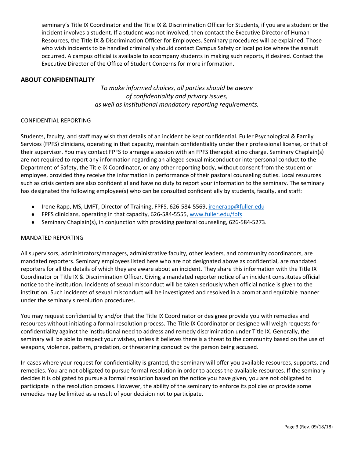seminary's Title IX Coordinator and the Title IX & Discrimination Officer for Students, if you are a student or the incident involves a student. If a student was not involved, then contact the Executive Director of Human Resources, the Title IX & Discrimination Officer for Employees. Seminary procedures will be explained. Those who wish incidents to be handled criminally should contact Campus Safety or local police where the assault occurred. A campus official is available to accompany students in making such reports, if desired. Contact the Executive Director of the Office of Student Concerns for more information.

# **ABOUT CONFIDENTIALITY**

*To make informed choices, all parties should be aware of confidentiality and privacy issues, as well as institutional mandatory reporting requirements.*

#### CONFIDENTIAL REPORTING

Students, faculty, and staff may wish that details of an incident be kept confidential. Fuller Psychological & Family Services (FPFS) clinicians, operating in that capacity, maintain confidentiality under their professional license, or that of their supervisor. You may contact FPFS to arrange a session with an FPFS therapist at no charge. Seminary Chaplain(s) are not required to report any information regarding an alleged sexual misconduct or interpersonal conduct to the Department of Safety, the Title IX Coordinator, or any other reporting body, without consent from the student or employee, provided they receive the information in performance of their pastoral counseling duties. Local resources such as crisis centers are also confidential and have no duty to report your information to the seminary. The seminary has designated the following employee(s) who can be consulted confidentially by students, faculty, and staff:

- Irene Rapp, MS, LMFT, Director of Training, FPFS, 626-584-5569, [irenerapp@fuller.edu](mailto:irenerapp@fuller.edu)
- FPFS clinicians, operating in that capacity, 626-584-5555, [www.fuller.edu/fpfs](http://www.fuller.edu/fpfs)
- Seminary Chaplain(s), in conjunction with providing pastoral counseling, 626-584-5273.

#### MANDATED REPORTING

All supervisors, administrators/managers, administrative faculty, other leaders, and community coordinators, are mandated reporters. Seminary employees listed here who are not designated above as confidential, are mandated reporters for all the details of which they are aware about an incident. They share this information with the Title IX Coordinator or Title IX & Discrimination Officer. Giving a mandated reporter notice of an incident constitutes official notice to the institution. Incidents of sexual misconduct will be taken seriously when official notice is given to the institution. Such incidents of sexual misconduct will be investigated and resolved in a prompt and equitable manner under the seminary's resolution procedures.

You may request confidentiality and/or that the Title IX Coordinator or designee provide you with remedies and resources without initiating a formal resolution process. The Title IX Coordinator or designee will weigh requests for confidentiality against the institutional need to address and remedy discrimination under Title IX. Generally, the seminary will be able to respect your wishes, unless it believes there is a threat to the community based on the use of weapons, violence, pattern, predation, or threatening conduct by the person being accused.

In cases where your request for confidentiality is granted, the seminary will offer you available resources, supports, and remedies. You are not obligated to pursue formal resolution in order to access the available resources. If the seminary decides it is obligated to pursue a formal resolution based on the notice you have given, you are not obligated to participate in the resolution process. However, the ability of the seminary to enforce its policies or provide some remedies may be limited as a result of your decision not to participate.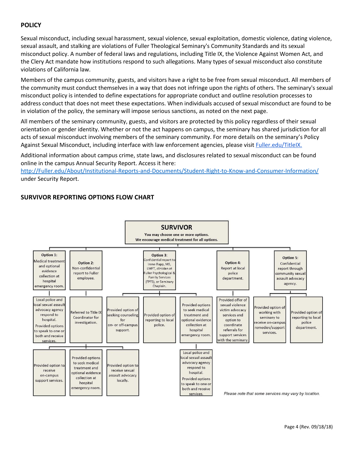# **POLICY**

Sexual misconduct, including sexual harassment, sexual violence, sexual exploitation, domestic violence, dating violence, sexual assault, and stalking are violations of Fuller Theological Seminary's Community Standards and its sexual misconduct policy. A number of federal laws and regulations, including Title IX, the Violence Against Women Act, and the Clery Act mandate how institutions respond to such allegations. Many types of sexual misconduct also constitute violations of California law.

Members of the campus community, guests, and visitors have a right to be free from sexual misconduct. All members of the community must conduct themselves in a way that does not infringe upon the rights of others. The seminary's sexual misconduct policy is intended to define expectations for appropriate conduct and outline resolution processes to address conduct that does not meet these expectations. When individuals accused of sexual misconduct are found to be in violation of the policy, the seminary will impose serious sanctions, as noted on the next page.

All members of the seminary community, guests, and visitors are protected by this policy regardless of their sexual orientation or gender identity. Whether or not the act happens on campus, the seminary has shared jurisdiction for all acts of sexual misconduct involving members of the seminary community. For more details on the seminary's Policy Against Sexual Misconduct, including interface with law enforcement agencies, please visit *Fuller.edu/TitleIX*.

Additional information about campus crime, state laws, and disclosures related to sexual misconduct can be found online in the campus Annual Security Report. Access it here:

[http://Fuller.edu/About/Institutional-Reports-and-Documents/Student-Right-to-Know-and-Consumer-Information/](http://www.fuller.edu/About/Institutional-Reports-and-Documents/Student-Right-to-Know-and-Consumer-Information/) under Security Report.

# **SURVIVOR REPORTING OPTIONS FLOW CHART**

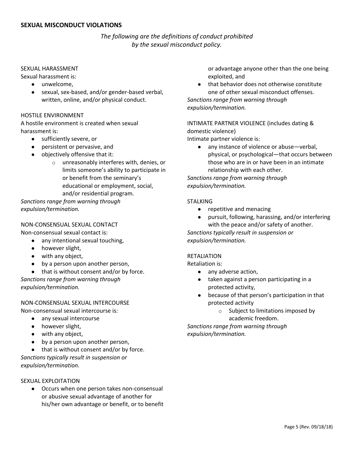# *The following are the definitions of conduct prohibited by the sexual misconduct policy.*

#### SEXUAL HARASSMENT

Sexual harassment is:

- unwelcome,
- sexual, sex-based, and/or gender-based verbal, written, online, and/or physical conduct.

#### HOSTILE ENVIRONMENT

A hostile environment is created when sexual harassment is:

- sufficiently severe, or
- persistent or pervasive, and
- objectively offensive that it:
	- o unreasonably interferes with, denies, or limits someone's ability to participate in or benefit from the seminary's educational or employment, social, and/or residential program.

*Sanctions range from warning through expulsion/termination.*

#### NON-CONSENSUAL SEXUAL CONTACT

Non-consensual sexual contact is:

- any intentional sexual touching,
- however slight,
- with any object,
- by a person upon another person,
- that is without consent and/or by force.

*Sanctions range from warning through expulsion/termination.*

# NON-CONSENSUAL SEXUAL INTERCOURSE

Non-consensual sexual intercourse is:

- any sexual intercourse
- however slight,
- with any object,
- by a person upon another person,

● that is without consent and/or by force. *Sanctions typically result in suspension or expulsion/termination.*

#### SEXUAL EXPLOITATION

● Occurs when one person takes non-consensual or abusive sexual advantage of another for his/her own advantage or benefit, or to benefit or advantage anyone other than the one being exploited, and

that behavior does not otherwise constitute one of other sexual misconduct offenses.

*Sanctions range from warning through expulsion/termination.*

INTIMATE PARTNER VIOLENCE (includes dating & domestic violence)

Intimate partner violence is:

● any instance of violence or abuse—verbal, physical, or psychological—that occurs between those who are in or have been in an intimate relationship with each other.

*Sanctions range from warning through expulsion/termination.*

#### **STALKING**

- repetitive and menacing
- pursuit, following, harassing, and/or interfering with the peace and/or safety of another.

*Sanctions typically result in suspension or expulsion/termination.*

#### RETALIATION

Retaliation is:

- any adverse action.
- taken against a person participating in a protected activity,
- because of that person's participation in that protected activity
	- o Subject to limitations imposed by academic freedom.

*Sanctions range from warning through expulsion/termination.*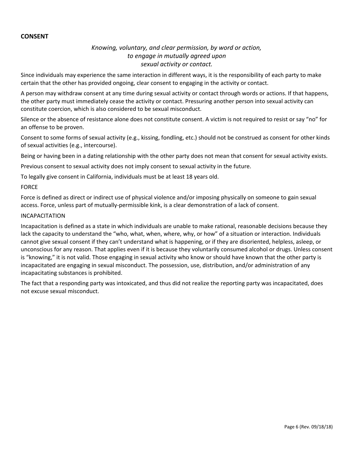#### **CONSENT**

# *Knowing, voluntary, and clear permission, by word or action, to engage in mutually agreed upon sexual activity or contact.*

Since individuals may experience the same interaction in different ways, it is the responsibility of each party to make certain that the other has provided ongoing, clear consent to engaging in the activity or contact.

A person may withdraw consent at any time during sexual activity or contact through words or actions. If that happens, the other party must immediately cease the activity or contact. Pressuring another person into sexual activity can constitute coercion, which is also considered to be sexual misconduct.

Silence or the absence of resistance alone does not constitute consent. A victim is not required to resist or say "no" for an offense to be proven.

Consent to some forms of sexual activity (e.g., kissing, fondling, etc.) should not be construed as consent for other kinds of sexual activities (e.g., intercourse).

Being or having been in a dating relationship with the other party does not mean that consent for sexual activity exists.

Previous consent to sexual activity does not imply consent to sexual activity in the future.

To legally give consent in California, individuals must be at least 18 years old.

#### FORCE

Force is defined as direct or indirect use of physical violence and/or imposing physically on someone to gain sexual access. Force, unless part of mutually-permissible kink, is a clear demonstration of a lack of consent.

#### INCAPACITATION

Incapacitation is defined as a state in which individuals are unable to make rational, reasonable decisions because they lack the capacity to understand the "who, what, when, where, why, or how" of a situation or interaction. Individuals cannot give sexual consent if they can't understand what is happening, or if they are disoriented, helpless, asleep, or unconscious for any reason. That applies even if it is because they voluntarily consumed alcohol or drugs. Unless consent is "knowing," it is not valid. Those engaging in sexual activity who know or should have known that the other party is incapacitated are engaging in sexual misconduct. The possession, use, distribution, and/or administration of any incapacitating substances is prohibited.

The fact that a responding party was intoxicated, and thus did not realize the reporting party was incapacitated, does not excuse sexual misconduct.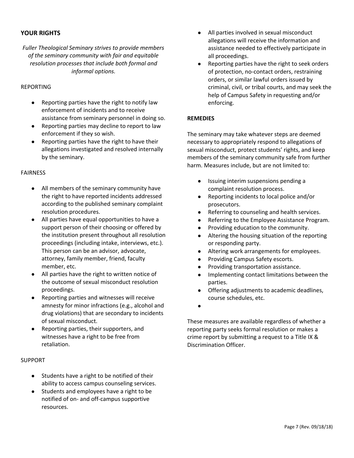# **YOUR RIGHTS**

*Fuller Theological Seminary strives to provide members of the seminary community with fair and equitable resolution processes that include both formal and informal options.*

#### REPORTING

- Reporting parties have the right to notify law enforcement of incidents and to receive assistance from seminary personnel in doing so.
- Reporting parties may decline to report to law enforcement if they so wish.
- Reporting parties have the right to have their allegations investigated and resolved internally by the seminary.

#### FAIRNESS

- All members of the seminary community have the right to have reported incidents addressed according to the published seminary complaint resolution procedures.
- All parties have equal opportunities to have a support person of their choosing or offered by the institution present throughout all resolution proceedings (including intake, interviews, etc.). This person can be an advisor, advocate, attorney, family member, friend, faculty member, etc.
- All parties have the right to written notice of the outcome of sexual misconduct resolution proceedings.
- Reporting parties and witnesses will receive amnesty for minor infractions (e.g., alcohol and drug violations) that are secondary to incidents of sexual misconduct.
- Reporting parties, their supporters, and witnesses have a right to be free from retaliation.

#### SUPPORT

- Students have a right to be notified of their ability to access campus counseling services.
- Students and employees have a right to be notified of on- and off-campus supportive resources.
- All parties involved in sexual misconduct allegations will receive the information and assistance needed to effectively participate in all proceedings.
- Reporting parties have the right to seek orders of protection, no-contact orders, restraining orders, or similar lawful orders issued by criminal, civil, or tribal courts, and may seek the help of Campus Safety in requesting and/or enforcing.

#### **REMEDIES**

The seminary may take whatever steps are deemed necessary to appropriately respond to allegations of sexual misconduct, protect students' rights, and keep members of the seminary community safe from further harm. Measures include, but are not limited to:

- Issuing interim suspensions pending a complaint resolution process.
- Reporting incidents to local police and/or prosecutors.
- Referring to counseling and health services.
- Referring to the Employee Assistance Program.
- Providing education to the community.
- Altering the housing situation of the reporting or responding party.
- Altering work arrangements for employees.
- Providing Campus Safety escorts.
- Providing transportation assistance.
- Implementing contact limitations between the parties.
- Offering adjustments to academic deadlines, course schedules, etc.
- $\bullet$

These measures are available regardless of whether a reporting party seeks formal resolution or makes a crime report by submitting a request to a Title IX & Discrimination Officer.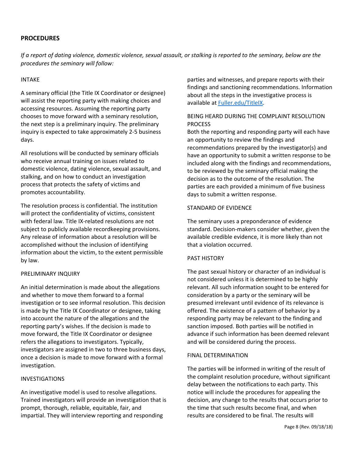# **PROCEDURES**

If a report of dating violence, domestic violence, sexual assault, or stalking is reported to the seminary, below are the *procedures the seminary will follow:*

#### INTAKE

A seminary official (the Title IX Coordinator or designee) will assist the reporting party with making choices and accessing resources. Assuming the reporting party chooses to move forward with a seminary resolution, the next step is a preliminary inquiry. The preliminary inquiry is expected to take approximately 2-5 business days.

All resolutions will be conducted by seminary officials who receive annual training on issues related to domestic violence, dating violence, sexual assault, and stalking, and on how to conduct an investigation process that protects the safety of victims and promotes accountability.

The resolution process is confidential. The institution will protect the confidentiality of victims, consistent with federal law. Title IX-related resolutions are not subject to publicly available recordkeeping provisions. Any release of information about a resolution will be accomplished without the inclusion of identifying information about the victim, to the extent permissible by law.

#### PRELIMINARY INQUIRY

An initial determination is made about the allegations and whether to move them forward to a formal investigation or to see informal resolution. This decision is made by the Title IX Coordinator or designee, taking into account the nature of the allegations and the reporting party's wishes. If the decision is made to move forward, the Title IX Coordinator or designee refers the allegations to investigators. Typically, investigators are assigned in two to three business days, once a decision is made to move forward with a formal investigation.

#### INVESTIGATIONS

An investigative model is used to resolve allegations. Trained investigators will provide an investigation that is prompt, thorough, reliable, equitable, fair, and impartial. They will interview reporting and responding

parties and witnesses, and prepare reports with their findings and sanctioning recommendations. Information about all the steps in the investigative process is available at [Fuller.edu/TitleIX](http://www.fuller.edu/TitleIX).

## BEING HEARD DURING THE COMPLAINT RESOLUTION PROCESS

Both the reporting and responding party will each have an opportunity to review the findings and recommendations prepared by the investigator(s) and have an opportunity to submit a written response to be included along with the findings and recommendations, to be reviewed by the seminary official making the decision as to the outcome of the resolution. The parties are each provided a minimum of five business days to submit a written response.

#### STANDARD OF EVIDENCE

The seminary uses a preponderance of evidence standard. Decision-makers consider whether, given the available credible evidence, it is more likely than not that a violation occurred.

#### PAST HISTORY

The past sexual history or character of an individual is not considered unless it is determined to be highly relevant. All such information sought to be entered for consideration by a party or the seminary will be presumed irrelevant until evidence of its relevance is offered. The existence of a pattern of behavior by a responding party may be relevant to the finding and sanction imposed. Both parties will be notified in advance if such information has been deemed relevant and will be considered during the process.

#### FINAL DETERMINATION

The parties will be informed in writing of the result of the complaint resolution procedure, without significant delay between the notifications to each party. This notice will include the procedures for appealing the decision, any change to the results that occurs prior to the time that such results become final, and when results are considered to be final. The results will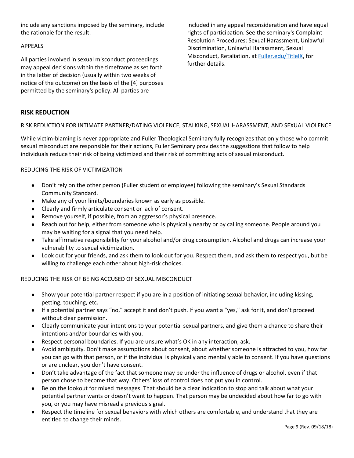include any sanctions imposed by the seminary, include the rationale for the result.

#### APPEALS

All parties involved in sexual misconduct proceedings may appeal decisions within the timeframe as set forth in the letter of decision (usually within two weeks of notice of the outcome) on the basis of the [4] purposes permitted by the seminary's policy. All parties are

included in any appeal reconsideration and have equal rights of participation. See the seminary's Complaint Resolution Procedures: Sexual Harassment, Unlawful Discrimination, Unlawful Harassment, Sexual Misconduct, Retaliation, at [Fuller.edu/TitleIX,](http://www.fuller.edu/TitleIX) for further details.

# **RISK REDUCTION**

#### RISK REDUCTION FOR INTIMATE PARTNER/DATING VIOLENCE, STALKING, SEXUAL HARASSMENT, AND SEXUAL VIOLENCE

While victim-blaming is never appropriate and Fuller Theological Seminary fully recognizes that only those who commit sexual misconduct are responsible for their actions, Fuller Seminary provides the suggestions that follow to help individuals reduce their risk of being victimized and their risk of committing acts of sexual misconduct.

#### REDUCING THE RISK OF VICTIMIZATION

- Don't rely on the other person (Fuller student or employee) following the seminary's Sexual Standards Community Standard.
- Make any of your limits/boundaries known as early as possible.
- Clearly and firmly articulate consent or lack of consent.
- Remove yourself, if possible, from an aggressor's physical presence.
- Reach out for help, either from someone who is physically nearby or by calling someone. People around you may be waiting for a signal that you need help.
- Take affirmative responsibility for your alcohol and/or drug consumption. Alcohol and drugs can increase your vulnerability to sexual victimization.
- Look out for your friends, and ask them to look out for you. Respect them, and ask them to respect you, but be willing to challenge each other about high-risk choices.

REDUCING THE RISK OF BEING ACCUSED OF SEXUAL MISCONDUCT

- Show your potential partner respect if you are in a position of initiating sexual behavior, including kissing, petting, touching, etc.
- If a potential partner says "no," accept it and don't push. If you want a "yes," ask for it, and don't proceed without clear permission.
- Clearly communicate your intentions to your potential sexual partners, and give them a chance to share their intentions and/or boundaries with you.
- Respect personal boundaries. If you are unsure what's OK in any interaction, ask.
- Avoid ambiguity. Don't make assumptions about consent, about whether someone is attracted to you, how far you can go with that person, or if the individual is physically and mentally able to consent. If you have questions or are unclear, you don't have consent.
- Don't take advantage of the fact that someone may be under the influence of drugs or alcohol, even if that person chose to become that way. Others' loss of control does not put you in control.
- Be on the lookout for mixed messages. That should be a clear indication to stop and talk about what your potential partner wants or doesn't want to happen. That person may be undecided about how far to go with you, or you may have misread a previous signal.
- Respect the timeline for sexual behaviors with which others are comfortable, and understand that they are entitled to change their minds.